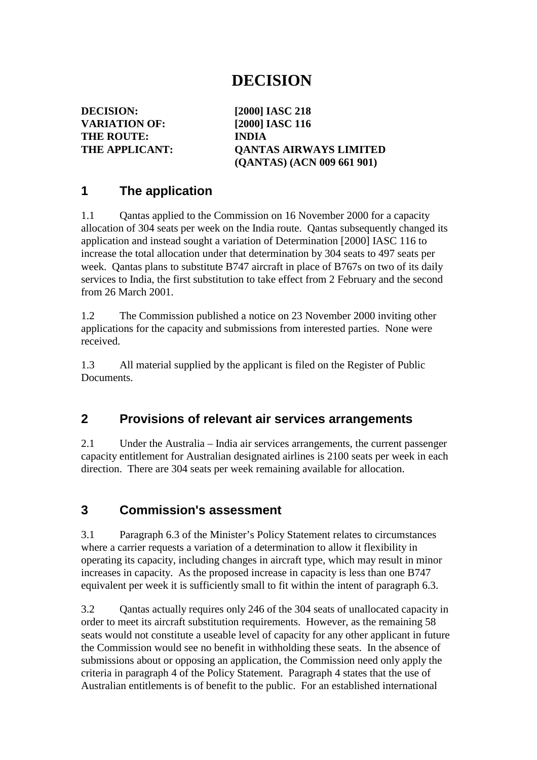# **DECISION**

**DECISION: [2000] IASC 218 VARIATION OF: [2000] IASC 116 THE ROUTE: INDIA**

**THE APPLICANT: QANTAS AIRWAYS LIMITED (QANTAS) (ACN 009 661 901)**

### **1 The application**

1.1 Qantas applied to the Commission on 16 November 2000 for a capacity allocation of 304 seats per week on the India route. Qantas subsequently changed its application and instead sought a variation of Determination [2000] IASC 116 to increase the total allocation under that determination by 304 seats to 497 seats per week. Qantas plans to substitute B747 aircraft in place of B767s on two of its daily services to India, the first substitution to take effect from 2 February and the second from 26 March 2001.

1.2 The Commission published a notice on 23 November 2000 inviting other applications for the capacity and submissions from interested parties. None were received.

1.3 All material supplied by the applicant is filed on the Register of Public **Documents** 

### **2 Provisions of relevant air services arrangements**

2.1 Under the Australia – India air services arrangements, the current passenger capacity entitlement for Australian designated airlines is 2100 seats per week in each direction. There are 304 seats per week remaining available for allocation.

### **3 Commission's assessment**

3.1 Paragraph 6.3 of the Minister's Policy Statement relates to circumstances where a carrier requests a variation of a determination to allow it flexibility in operating its capacity, including changes in aircraft type, which may result in minor increases in capacity. As the proposed increase in capacity is less than one B747 equivalent per week it is sufficiently small to fit within the intent of paragraph 6.3.

3.2 Qantas actually requires only 246 of the 304 seats of unallocated capacity in order to meet its aircraft substitution requirements. However, as the remaining 58 seats would not constitute a useable level of capacity for any other applicant in future the Commission would see no benefit in withholding these seats. In the absence of submissions about or opposing an application, the Commission need only apply the criteria in paragraph 4 of the Policy Statement. Paragraph 4 states that the use of Australian entitlements is of benefit to the public. For an established international